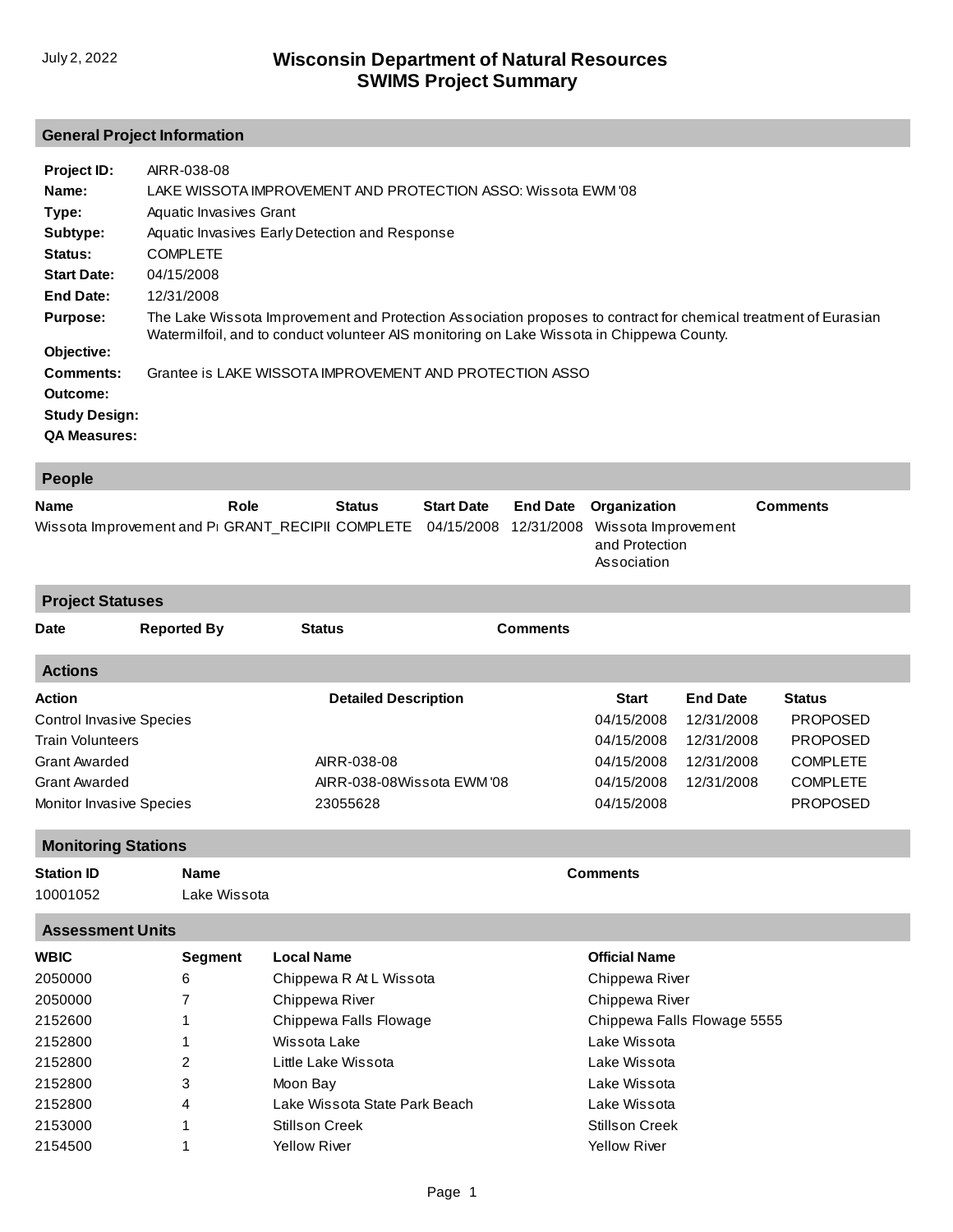## **General Project Information**

| Project ID:                                                          | AIRR-038-08                                                                                                     |
|----------------------------------------------------------------------|-----------------------------------------------------------------------------------------------------------------|
| Name:                                                                | LAKE WISSOTA IMPROVEMENT AND PROTECTION ASSO: Wissota EWM '08                                                   |
| Type:                                                                | Aquatic Invasives Grant                                                                                         |
| Subtype:                                                             | Aquatic Invasives Early Detection and Response                                                                  |
| Status:                                                              | <b>COMPLETE</b>                                                                                                 |
| <b>Start Date:</b>                                                   | 04/15/2008                                                                                                      |
| End Date:                                                            | 12/31/2008                                                                                                      |
| <b>Purpose:</b>                                                      | The Lake Wissota Improvement and Protection Association proposes to contract for chemical treatment of Eurasian |
| Objective:                                                           | Watermilfoil, and to conduct volunteer AIS monitoring on Lake Wissota in Chippewa County.                       |
| Comments:<br>Outcome:<br><b>Study Design:</b><br><b>QA Measures:</b> | Grantee is LAKE WISSOTA IMPROVEMENT AND PROTECTION ASSO                                                         |

| <b>People</b>                                                            |                    |               |                             |                                 |                               |                                                                      |                      |                 |                 |  |
|--------------------------------------------------------------------------|--------------------|---------------|-----------------------------|---------------------------------|-------------------------------|----------------------------------------------------------------------|----------------------|-----------------|-----------------|--|
| Role<br><b>Name</b><br>Wissota Improvement and PI GRANT_RECIPII COMPLETE |                    | <b>Status</b> |                             | <b>Start Date</b><br>04/15/2008 | <b>End Date</b><br>12/31/2008 | Organization<br>Wissota Improvement<br>and Protection<br>Association |                      | <b>Comments</b> |                 |  |
| <b>Project Statuses</b>                                                  |                    |               |                             |                                 |                               |                                                                      |                      |                 |                 |  |
| <b>Date</b>                                                              | <b>Reported By</b> |               |                             | <b>Status</b>                   |                               | <b>Comments</b>                                                      |                      |                 |                 |  |
| <b>Actions</b>                                                           |                    |               |                             |                                 |                               |                                                                      |                      |                 |                 |  |
| <b>Action</b>                                                            |                    |               | <b>Detailed Description</b> |                                 |                               | <b>Start</b>                                                         | <b>End Date</b>      | <b>Status</b>   |                 |  |
| <b>Control Invasive Species</b>                                          |                    |               |                             |                                 |                               |                                                                      | 04/15/2008           | 12/31/2008      | <b>PROPOSED</b> |  |
| <b>Train Volunteers</b>                                                  |                    |               |                             |                                 |                               | 04/15/2008                                                           | 12/31/2008           | <b>PROPOSED</b> |                 |  |
| <b>Grant Awarded</b>                                                     |                    |               | AIRR-038-08                 |                                 |                               |                                                                      | 04/15/2008           | 12/31/2008      | <b>COMPLETE</b> |  |
| <b>Grant Awarded</b>                                                     |                    |               | AIRR-038-08Wissota EWM '08  |                                 |                               | 04/15/2008                                                           | 12/31/2008           | <b>COMPLETE</b> |                 |  |
| Monitor Invasive Species                                                 |                    |               | 23055628                    |                                 |                               | 04/15/2008                                                           |                      | <b>PROPOSED</b> |                 |  |
| <b>Monitoring Stations</b>                                               |                    |               |                             |                                 |                               |                                                                      |                      |                 |                 |  |
| <b>Station ID</b>                                                        | <b>Name</b>        |               | <b>Comments</b>             |                                 |                               |                                                                      |                      |                 |                 |  |
| 10001052                                                                 |                    | Lake Wissota  |                             |                                 |                               |                                                                      |                      |                 |                 |  |
| <b>Assessment Units</b>                                                  |                    |               |                             |                                 |                               |                                                                      |                      |                 |                 |  |
| <b>WBIC</b>                                                              | Segment            |               | <b>Local Name</b>           |                                 |                               |                                                                      | <b>Official Name</b> |                 |                 |  |

| WDIY<br>Segnent |   | LOCAL NATILE                  | <b>UIIIUI</b> NAIIIE        |  |
|-----------------|---|-------------------------------|-----------------------------|--|
| 2050000         | 6 | Chippewa R At L Wissota       | Chippewa River              |  |
| 2050000         |   | Chippewa River                | Chippewa River              |  |
| 2152600         |   | Chippewa Falls Flowage        | Chippewa Falls Flowage 5555 |  |
| 2152800         |   | Wissota Lake                  | Lake Wissota                |  |
| 2152800         | 2 | Little Lake Wissota           | Lake Wissota                |  |
| 2152800         | 3 | Moon Bay                      | Lake Wissota                |  |
| 2152800         | 4 | Lake Wissota State Park Beach | Lake Wissota                |  |
| 2153000         |   | <b>Stillson Creek</b>         | <b>Stillson Creek</b>       |  |
| 2154500         |   | <b>Yellow River</b>           | <b>Yellow River</b>         |  |
|                 |   |                               |                             |  |